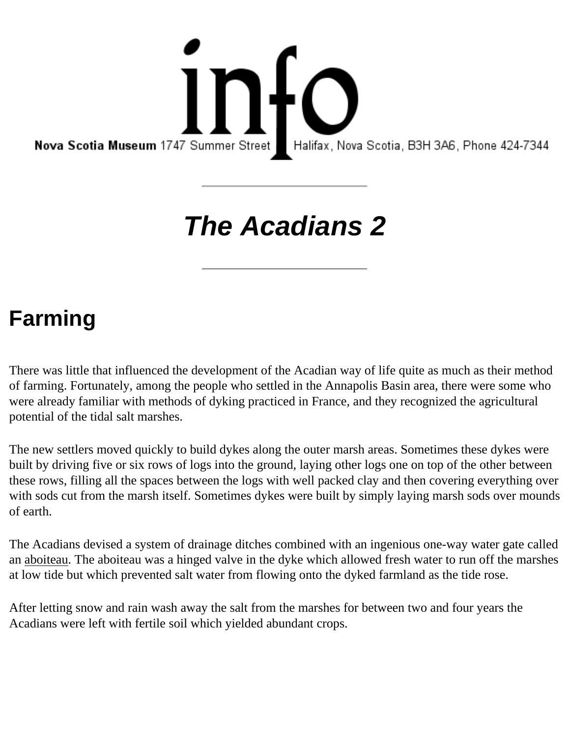info Nova Scotia Museum 1747 Summer Street | Halifax, Nova Scotia, B3H 3A6, Phone 424-7344

## **The Acadians 2**

## **Farming**

There was little that influenced the development of the Acadian way of life quite as much as their method of farming. Fortunately, among the people who settled in the Annapolis Basin area, there were some who were already familiar with methods of dyking practiced in France, and they recognized the agricultural potential of the tidal salt marshes.

The new settlers moved quickly to build dykes along the outer marsh areas. Sometimes these dykes were built by driving five or six rows of logs into the ground, laying other logs one on top of the other between these rows, filling all the spaces between the logs with well packed clay and then covering everything over with sods cut from the marsh itself. Sometimes dykes were built by simply laying marsh sods over mounds of earth.

The Acadians devised a system of drainage ditches combined with an ingenious one-way water gate called an aboiteau. The aboiteau was a hinged valve in the dyke which allowed fresh water to run off the marshes at low tide but which prevented salt water from flowing onto the dyked farmland as the tide rose.

After letting snow and rain wash away the salt from the marshes for between two and four years the Acadians were left with fertile soil which yielded abundant crops.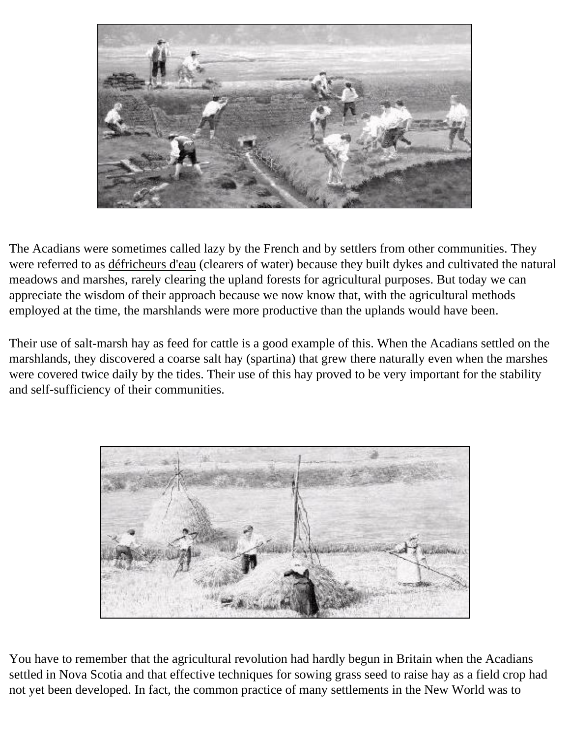

The Acadians were sometimes called lazy by the French and by settlers from other communities. They were referred to as défricheurs d'eau (clearers of water) because they built dykes and cultivated the natural meadows and marshes, rarely clearing the upland forests for agricultural purposes. But today we can appreciate the wisdom of their approach because we now know that, with the agricultural methods employed at the time, the marshlands were more productive than the uplands would have been.

Their use of salt-marsh hay as feed for cattle is a good example of this. When the Acadians settled on the marshlands, they discovered a coarse salt hay (spartina) that grew there naturally even when the marshes were covered twice daily by the tides. Their use of this hay proved to be very important for the stability and self-sufficiency of their communities.



You have to remember that the agricultural revolution had hardly begun in Britain when the Acadians settled in Nova Scotia and that effective techniques for sowing grass seed to raise hay as a field crop had not yet been developed. In fact, the common practice of many settlements in the New World was to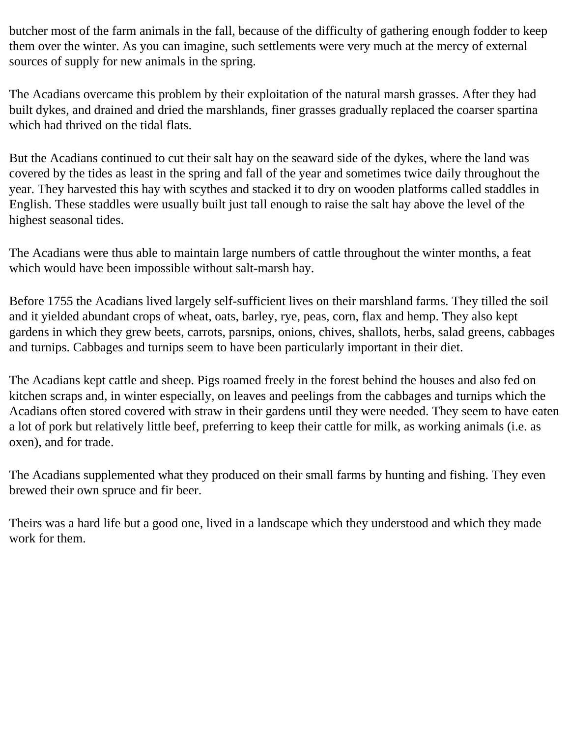butcher most of the farm animals in the fall, because of the difficulty of gathering enough fodder to keep them over the winter. As you can imagine, such settlements were very much at the mercy of external sources of supply for new animals in the spring.

The Acadians overcame this problem by their exploitation of the natural marsh grasses. After they had built dykes, and drained and dried the marshlands, finer grasses gradually replaced the coarser spartina which had thrived on the tidal flats.

But the Acadians continued to cut their salt hay on the seaward side of the dykes, where the land was covered by the tides as least in the spring and fall of the year and sometimes twice daily throughout the year. They harvested this hay with scythes and stacked it to dry on wooden platforms called staddles in English. These staddles were usually built just tall enough to raise the salt hay above the level of the highest seasonal tides.

The Acadians were thus able to maintain large numbers of cattle throughout the winter months, a feat which would have been impossible without salt-marsh hay.

Before 1755 the Acadians lived largely self-sufficient lives on their marshland farms. They tilled the soil and it yielded abundant crops of wheat, oats, barley, rye, peas, corn, flax and hemp. They also kept gardens in which they grew beets, carrots, parsnips, onions, chives, shallots, herbs, salad greens, cabbages and turnips. Cabbages and turnips seem to have been particularly important in their diet.

The Acadians kept cattle and sheep. Pigs roamed freely in the forest behind the houses and also fed on kitchen scraps and, in winter especially, on leaves and peelings from the cabbages and turnips which the Acadians often stored covered with straw in their gardens until they were needed. They seem to have eaten a lot of pork but relatively little beef, preferring to keep their cattle for milk, as working animals (i.e. as oxen), and for trade.

The Acadians supplemented what they produced on their small farms by hunting and fishing. They even brewed their own spruce and fir beer.

Theirs was a hard life but a good one, lived in a landscape which they understood and which they made work for them.